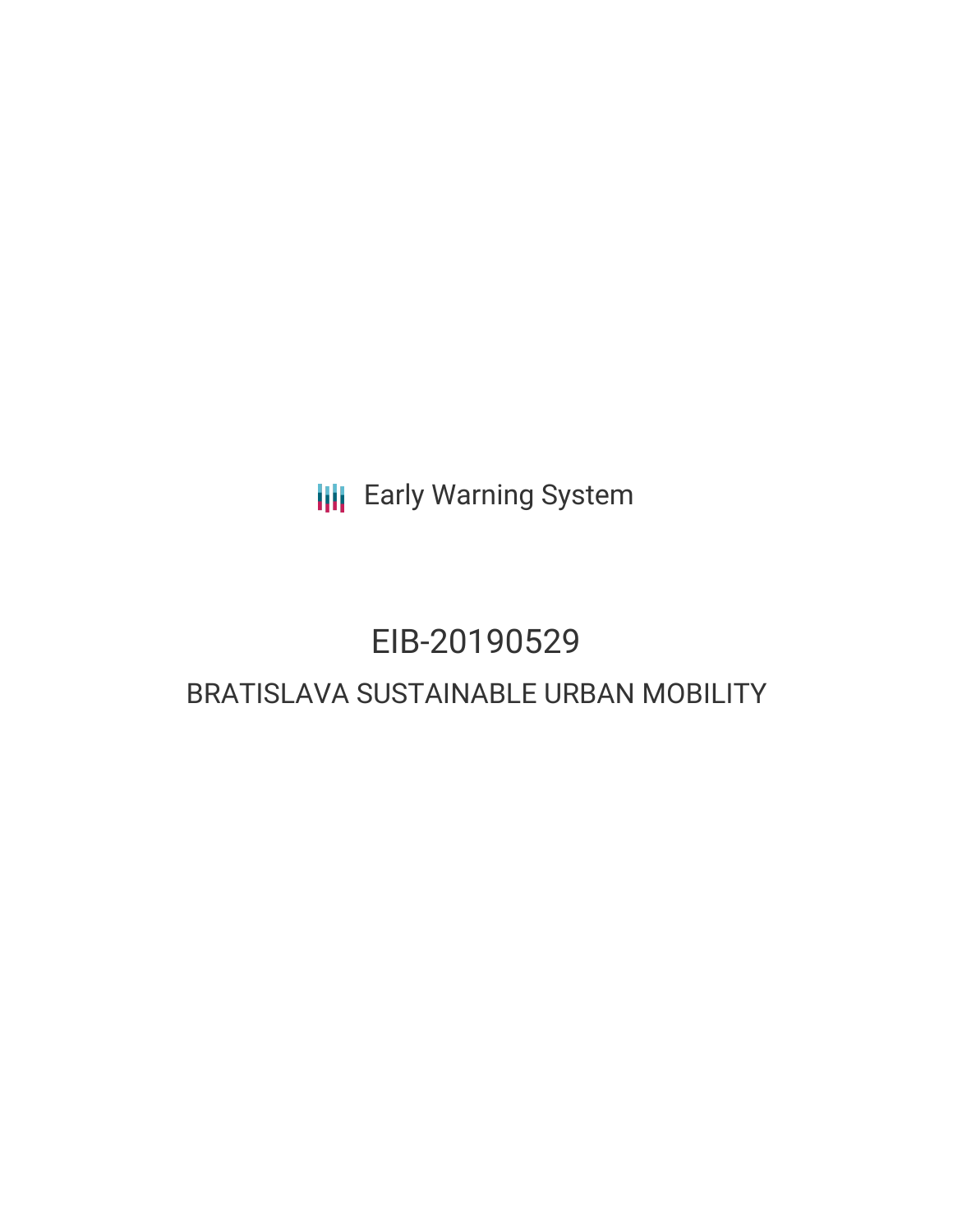**III** Early Warning System

## EIB-20190529

### BRATISLAVA SUSTAINABLE URBAN MOBILITY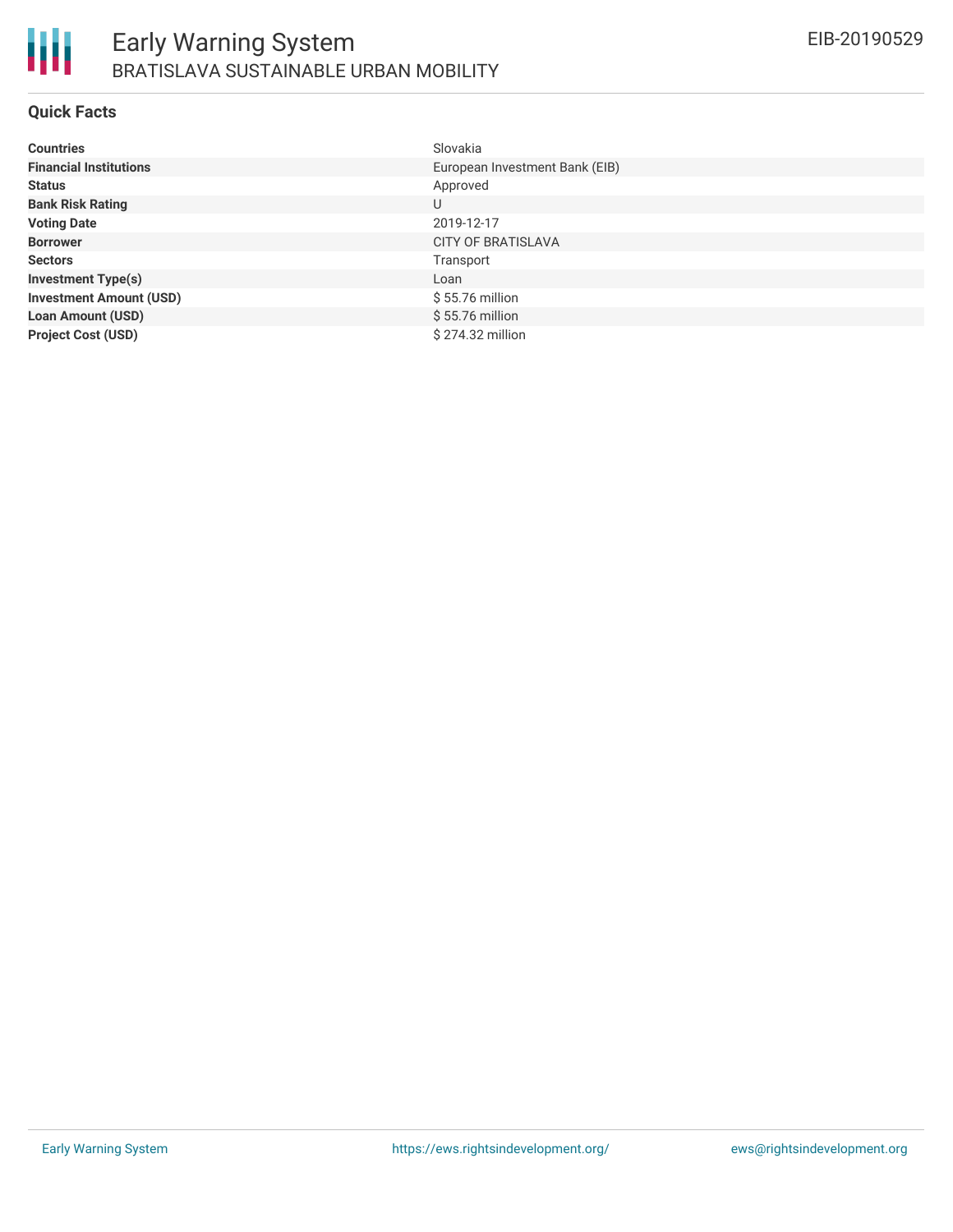

### **Quick Facts**

| <b>Countries</b>               | Slovakia                       |
|--------------------------------|--------------------------------|
| <b>Financial Institutions</b>  | European Investment Bank (EIB) |
| <b>Status</b>                  | Approved                       |
| <b>Bank Risk Rating</b>        | U                              |
| <b>Voting Date</b>             | 2019-12-17                     |
| <b>Borrower</b>                | <b>CITY OF BRATISLAVA</b>      |
| <b>Sectors</b>                 | Transport                      |
| <b>Investment Type(s)</b>      | Loan                           |
| <b>Investment Amount (USD)</b> | $$55.76$ million               |
| <b>Loan Amount (USD)</b>       | $$55.76$ million               |
| <b>Project Cost (USD)</b>      | \$274.32 million               |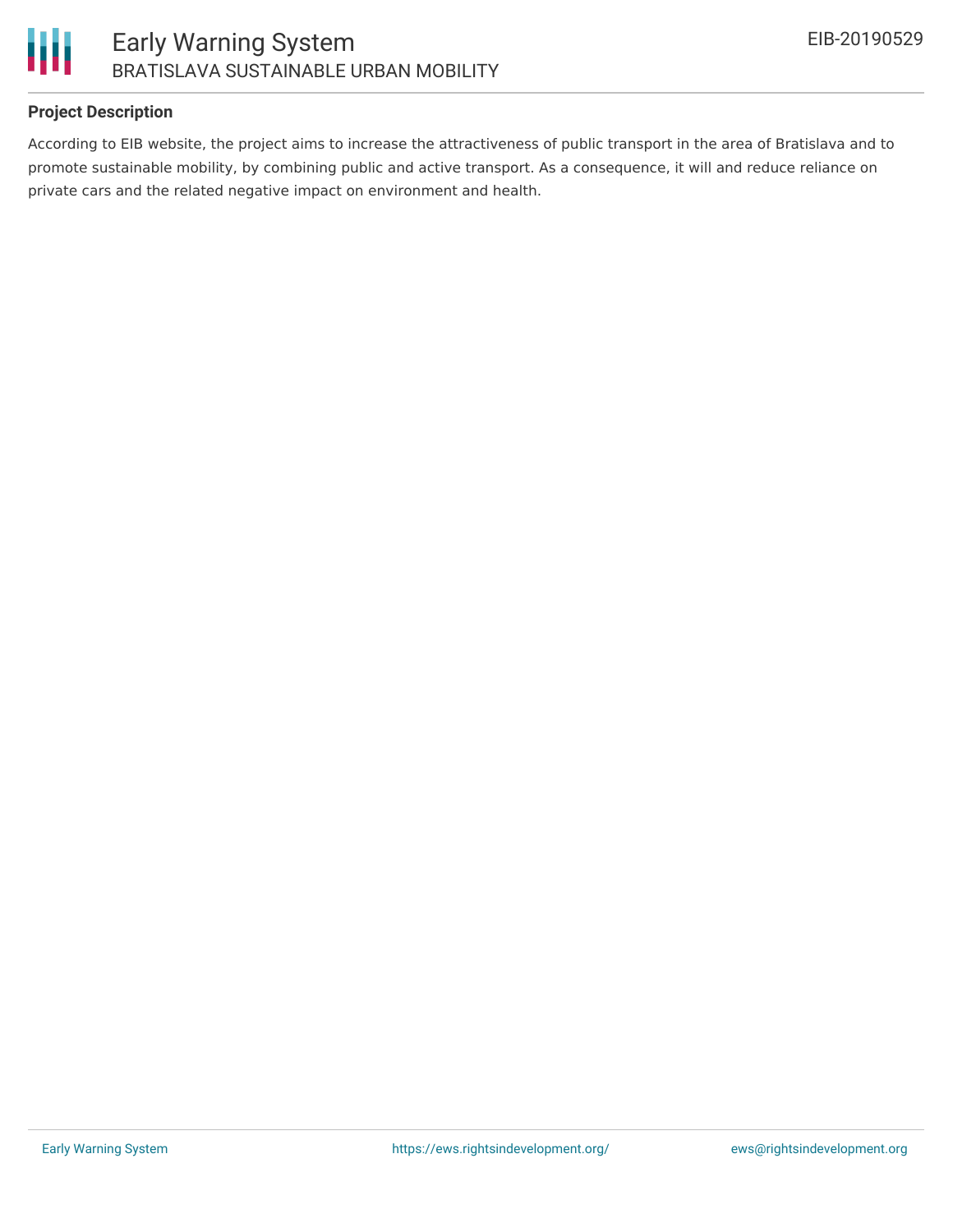

### **Project Description**

According to EIB website, the project aims to increase the attractiveness of public transport in the area of Bratislava and to promote sustainable mobility, by combining public and active transport. As a consequence, it will and reduce reliance on private cars and the related negative impact on environment and health.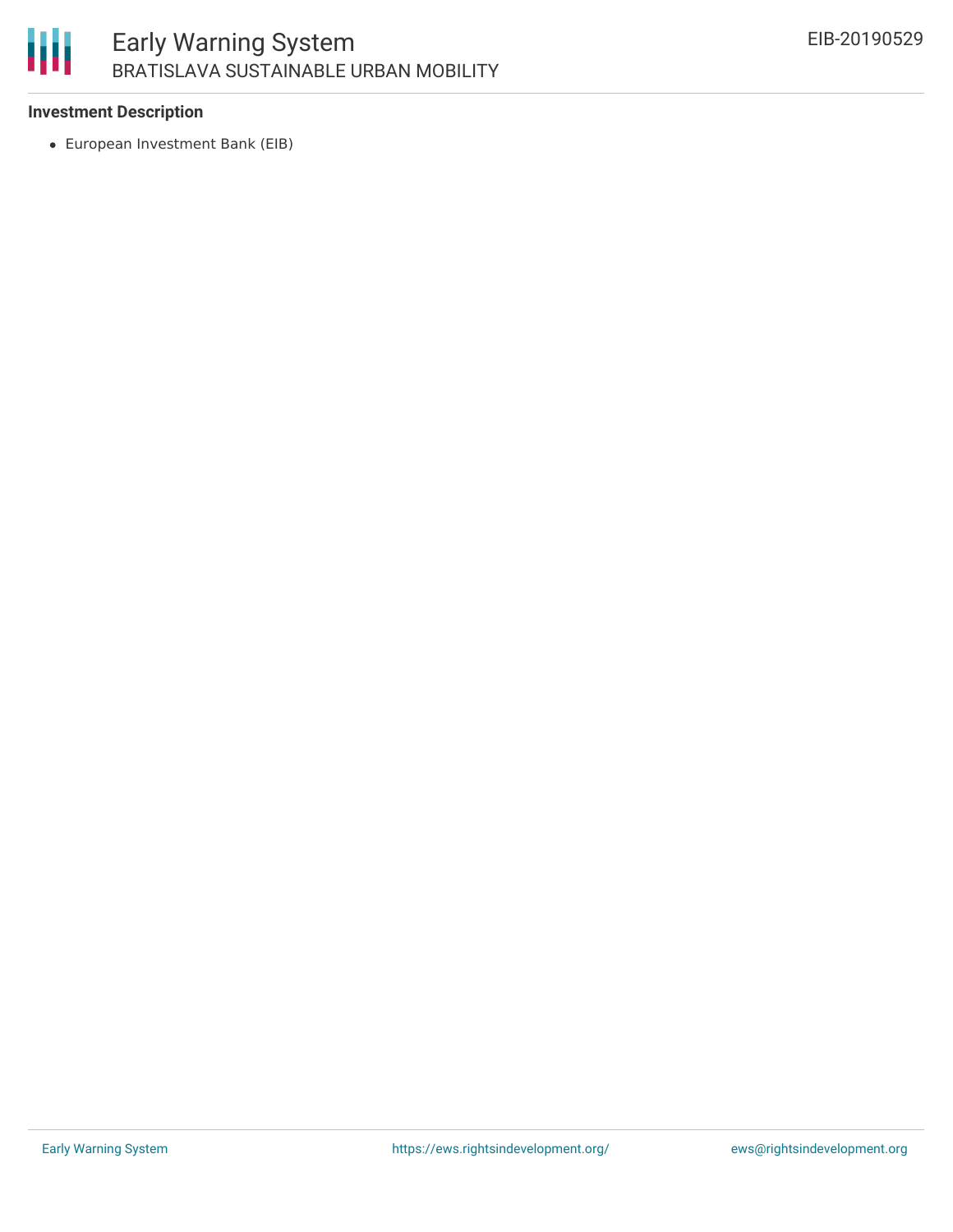# 朋

### **Investment Description**

European Investment Bank (EIB)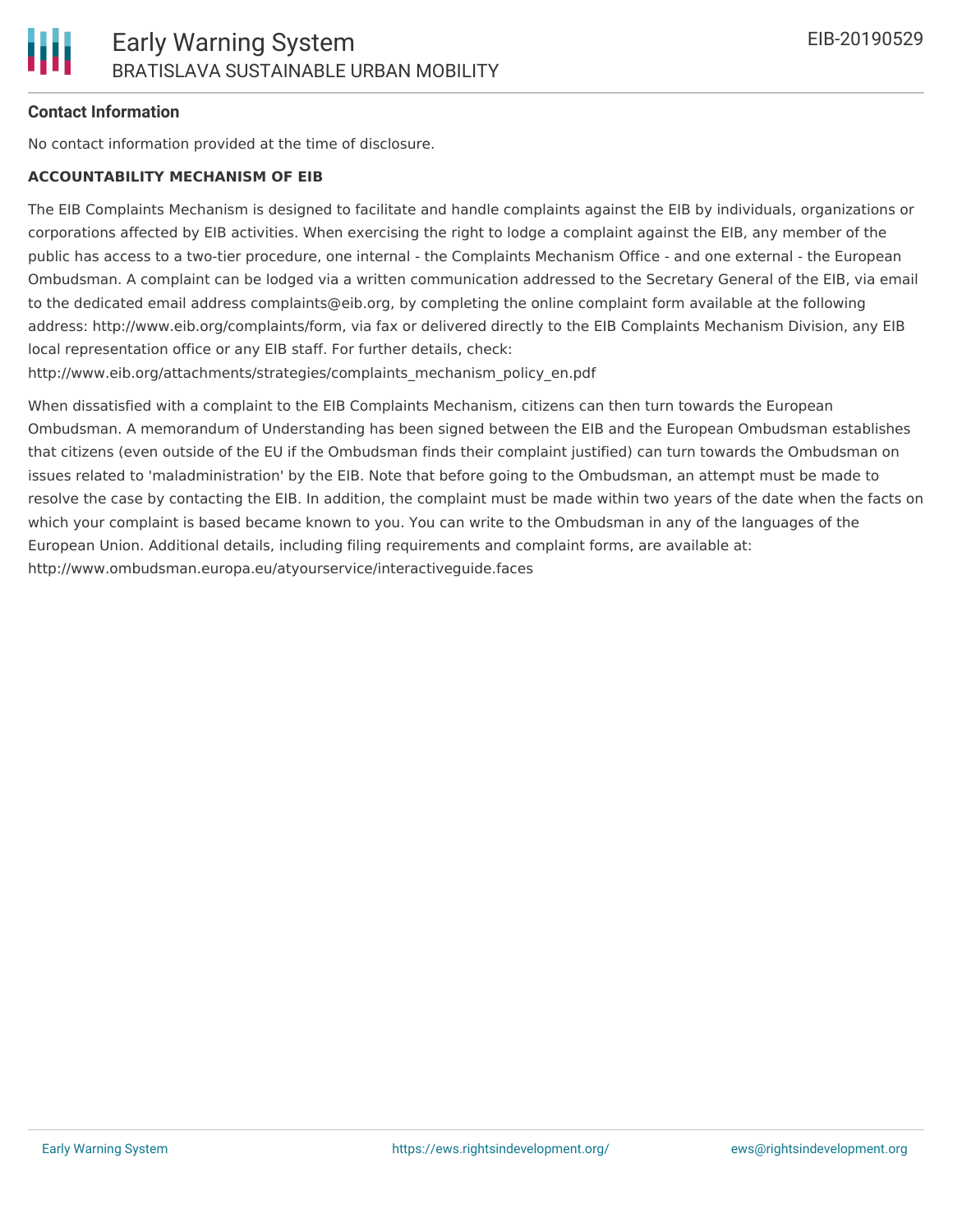### **Contact Information**

No contact information provided at the time of disclosure.

#### **ACCOUNTABILITY MECHANISM OF EIB**

The EIB Complaints Mechanism is designed to facilitate and handle complaints against the EIB by individuals, organizations or corporations affected by EIB activities. When exercising the right to lodge a complaint against the EIB, any member of the public has access to a two-tier procedure, one internal - the Complaints Mechanism Office - and one external - the European Ombudsman. A complaint can be lodged via a written communication addressed to the Secretary General of the EIB, via email to the dedicated email address complaints@eib.org, by completing the online complaint form available at the following address: http://www.eib.org/complaints/form, via fax or delivered directly to the EIB Complaints Mechanism Division, any EIB local representation office or any EIB staff. For further details, check:

http://www.eib.org/attachments/strategies/complaints\_mechanism\_policy\_en.pdf

When dissatisfied with a complaint to the EIB Complaints Mechanism, citizens can then turn towards the European Ombudsman. A memorandum of Understanding has been signed between the EIB and the European Ombudsman establishes that citizens (even outside of the EU if the Ombudsman finds their complaint justified) can turn towards the Ombudsman on issues related to 'maladministration' by the EIB. Note that before going to the Ombudsman, an attempt must be made to resolve the case by contacting the EIB. In addition, the complaint must be made within two years of the date when the facts on which your complaint is based became known to you. You can write to the Ombudsman in any of the languages of the European Union. Additional details, including filing requirements and complaint forms, are available at: http://www.ombudsman.europa.eu/atyourservice/interactiveguide.faces